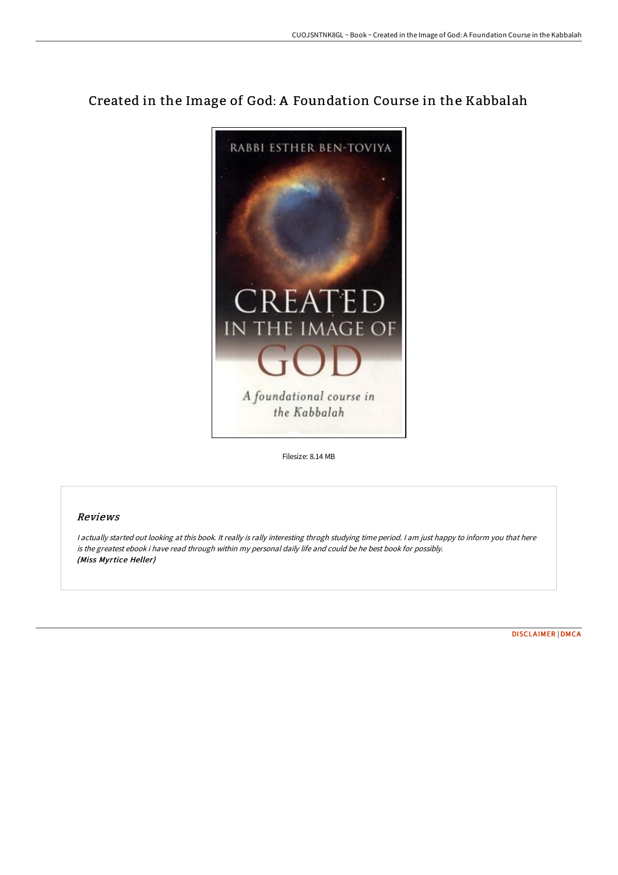# Created in the Image of God: A Foundation Course in the Kabbalah



Filesize: 8.14 MB

## Reviews

<sup>I</sup> actually started out looking at this book. It really is rally interesting throgh studying time period. <sup>I</sup> am just happy to inform you that here is the greatest ebook i have read through within my personal daily life and could be he best book for possibly. (Miss Myrtice Heller)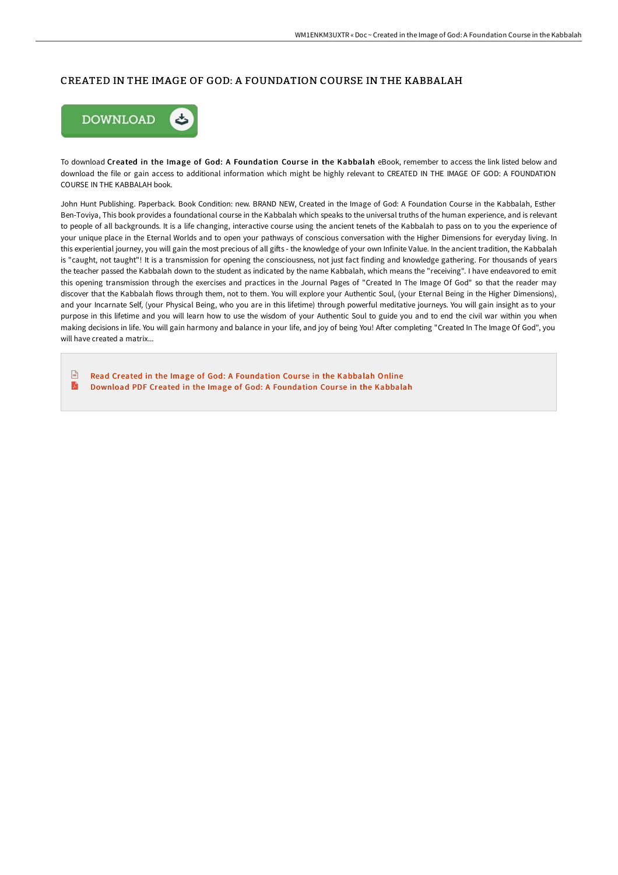### CREATED IN THE IMAGE OF GOD: A FOUNDATION COURSE IN THE KABBALAH



To download Created in the Image of God: A Foundation Course in the Kabbalah eBook, remember to access the link listed below and download the file or gain access to additional information which might be highly relevant to CREATED IN THE IMAGE OF GOD: A FOUNDATION COURSE IN THE KABBALAH book.

John Hunt Publishing. Paperback. Book Condition: new. BRAND NEW, Created in the Image of God: A Foundation Course in the Kabbalah, Esther Ben-Toviya, This book provides a foundational course in the Kabbalah which speaks to the universal truths of the human experience, and is relevant to people of all backgrounds. It is a life changing, interactive course using the ancient tenets of the Kabbalah to pass on to you the experience of your unique place in the Eternal Worlds and to open your pathways of conscious conversation with the Higher Dimensions for everyday living. In this experiential journey, you will gain the most precious of all gifts - the knowledge of your own Infinite Value. In the ancient tradition, the Kabbalah is "caught, not taught"! It is a transmission for opening the consciousness, not just fact finding and knowledge gathering. For thousands of years the teacher passed the Kabbalah down to the student as indicated by the name Kabbalah, which means the "receiving". I have endeavored to emit this opening transmission through the exercises and practices in the Journal Pages of "Created In The Image Of God" so that the reader may discover that the Kabbalah flows through them, not to them. You will explore your Authentic Soul, (your Eternal Being in the Higher Dimensions), and your Incarnate Self, (your Physical Being, who you are in this lifetime) through powerful meditative journeys. You will gain insight as to your purpose in this lifetime and you will learn how to use the wisdom of your Authentic Soul to guide you and to end the civil war within you when making decisions in life. You will gain harmony and balance in your life, and joy of being You! After completing "Created In The Image Of God", you will have created a matrix...

 $\frac{1}{100}$ Read Created in the Image of God: A [Foundation](http://techno-pub.tech/created-in-the-image-of-god-a-foundation-course-.html) Course in the Kabbalah Online E Download PDF Created in the Image of God: A [Foundation](http://techno-pub.tech/created-in-the-image-of-god-a-foundation-course-.html) Course in the Kabbalah